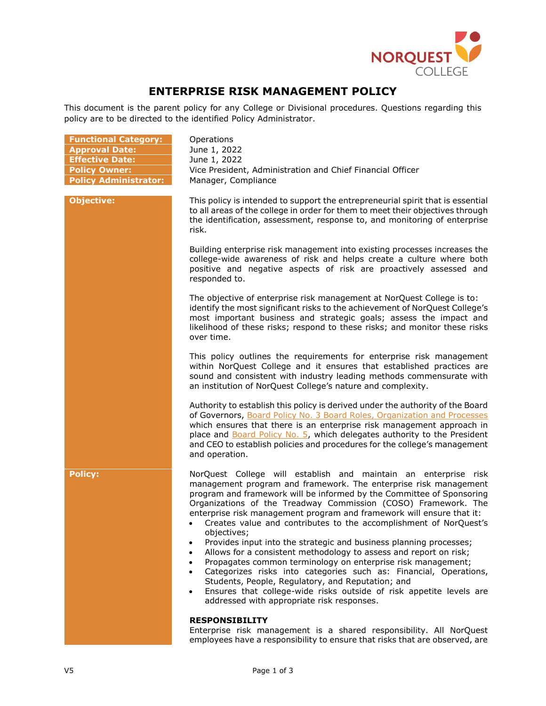

# **ENTERPRISE RISK MANAGEMENT POLICY**

This document is the parent policy for any College or Divisional procedures. Questions regarding this policy are to be directed to the identified Policy Administrator.

| <b>Functional Category:</b><br><b>Approval Date:</b><br><b>Effective Date:</b><br><b>Policy Owner:</b><br><b>Policy Administrator:</b> | Operations<br>June 1, 2022<br>June 1, 2022<br>Vice President, Administration and Chief Financial Officer<br>Manager, Compliance                                                                                                                                                                                                                                                                                                                                                                                                                                                                                                                                                                                                                                                                                                                                                                                                                                |
|----------------------------------------------------------------------------------------------------------------------------------------|----------------------------------------------------------------------------------------------------------------------------------------------------------------------------------------------------------------------------------------------------------------------------------------------------------------------------------------------------------------------------------------------------------------------------------------------------------------------------------------------------------------------------------------------------------------------------------------------------------------------------------------------------------------------------------------------------------------------------------------------------------------------------------------------------------------------------------------------------------------------------------------------------------------------------------------------------------------|
| <b>Objective:</b>                                                                                                                      | This policy is intended to support the entrepreneurial spirit that is essential<br>to all areas of the college in order for them to meet their objectives through<br>the identification, assessment, response to, and monitoring of enterprise<br>risk.                                                                                                                                                                                                                                                                                                                                                                                                                                                                                                                                                                                                                                                                                                        |
|                                                                                                                                        | Building enterprise risk management into existing processes increases the<br>college-wide awareness of risk and helps create a culture where both<br>positive and negative aspects of risk are proactively assessed and<br>responded to.                                                                                                                                                                                                                                                                                                                                                                                                                                                                                                                                                                                                                                                                                                                       |
|                                                                                                                                        | The objective of enterprise risk management at NorQuest College is to:<br>identify the most significant risks to the achievement of NorQuest College's<br>most important business and strategic goals; assess the impact and<br>likelihood of these risks; respond to these risks; and monitor these risks<br>over time.                                                                                                                                                                                                                                                                                                                                                                                                                                                                                                                                                                                                                                       |
|                                                                                                                                        | This policy outlines the requirements for enterprise risk management<br>within NorQuest College and it ensures that established practices are<br>sound and consistent with industry leading methods commensurate with<br>an institution of NorQuest College's nature and complexity.                                                                                                                                                                                                                                                                                                                                                                                                                                                                                                                                                                                                                                                                           |
|                                                                                                                                        | Authority to establish this policy is derived under the authority of the Board<br>of Governors, Board Policy No. 3 Board Roles, Organization and Processes<br>which ensures that there is an enterprise risk management approach in<br>place and Board Policy No. 5, which delegates authority to the President<br>and CEO to establish policies and procedures for the college's management<br>and operation.                                                                                                                                                                                                                                                                                                                                                                                                                                                                                                                                                 |
| <b>Policy:</b>                                                                                                                         | NorQuest College will establish and maintain an enterprise risk<br>management program and framework. The enterprise risk management<br>program and framework will be informed by the Committee of Sponsoring<br>Organizations of the Treadway Commission (COSO) Framework. The<br>enterprise risk management program and framework will ensure that it:<br>Creates value and contributes to the accomplishment of NorQuest's<br>objectives;<br>Provides input into the strategic and business planning processes;<br>٠<br>Allows for a consistent methodology to assess and report on risk;<br>$\bullet$<br>Propagates common terminology on enterprise risk management;<br>$\bullet$<br>Categorizes risks into categories such as: Financial, Operations,<br>$\bullet$<br>Students, People, Regulatory, and Reputation; and<br>Ensures that college-wide risks outside of risk appetite levels are<br>$\bullet$<br>addressed with appropriate risk responses. |
|                                                                                                                                        | <b>RESPONSIBILITY</b><br>Enterprise risk management is a shared responsibility. All NorQuest<br>employees have a responsibility to ensure that risks that are observed, are                                                                                                                                                                                                                                                                                                                                                                                                                                                                                                                                                                                                                                                                                                                                                                                    |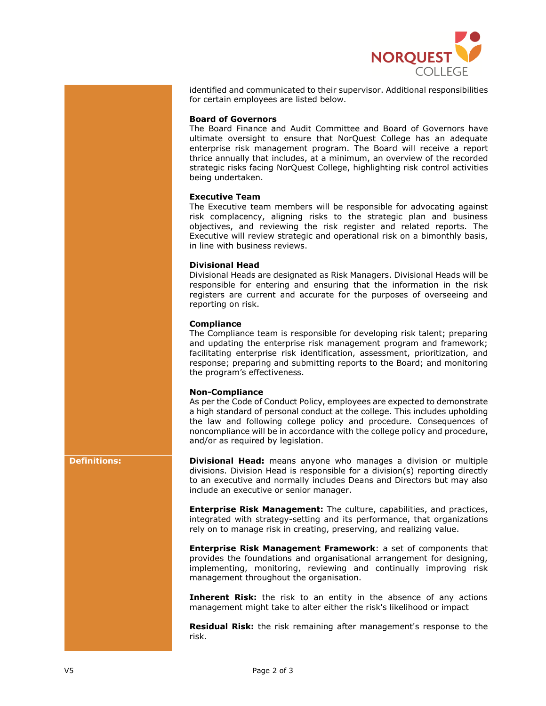

identified and communicated to their supervisor. Additional responsibilities for certain employees are listed below.

## **Board of Governors**

The Board Finance and Audit Committee and Board of Governors have ultimate oversight to ensure that NorQuest College has an adequate enterprise risk management program. The Board will receive a report thrice annually that includes, at a minimum, an overview of the recorded strategic risks facing NorQuest College, highlighting risk control activities being undertaken.

## **Executive Team**

The Executive team members will be responsible for advocating against risk complacency, aligning risks to the strategic plan and business objectives, and reviewing the risk register and related reports. The Executive will review strategic and operational risk on a bimonthly basis, in line with business reviews.

#### **Divisional Head**

Divisional Heads are designated as Risk Managers. Divisional Heads will be responsible for entering and ensuring that the information in the risk registers are current and accurate for the purposes of overseeing and reporting on risk.

#### **Compliance**

The Compliance team is responsible for developing risk talent; preparing and updating the enterprise risk management program and framework; facilitating enterprise risk identification, assessment, prioritization, and response; preparing and submitting reports to the Board; and monitoring the program's effectiveness.

### **Non-Compliance**

As per the Code of Conduct Policy, employees are expected to demonstrate a high standard of personal conduct at the college. This includes upholding the law and following college policy and procedure. Consequences of noncompliance will be in accordance with the college policy and procedure, and/or as required by legislation.

**Definitions: Divisional Head:** means anyone who manages a division or multiple divisions. Division Head is responsible for a division(s) reporting directly to an executive and normally includes Deans and Directors but may also include an executive or senior manager.

> **Enterprise Risk Management:** The culture, capabilities, and practices, integrated with strategy-setting and its performance, that organizations rely on to manage risk in creating, preserving, and realizing value.

> **Enterprise Risk Management Framework**: a set of components that provides the foundations and organisational arrangement for designing, implementing, monitoring, reviewing and continually improving risk management throughout the organisation.

> **Inherent Risk:** the risk to an entity in the absence of any actions management might take to alter either the risk's likelihood or impact

> **Residual Risk:** the risk remaining after management's response to the risk.